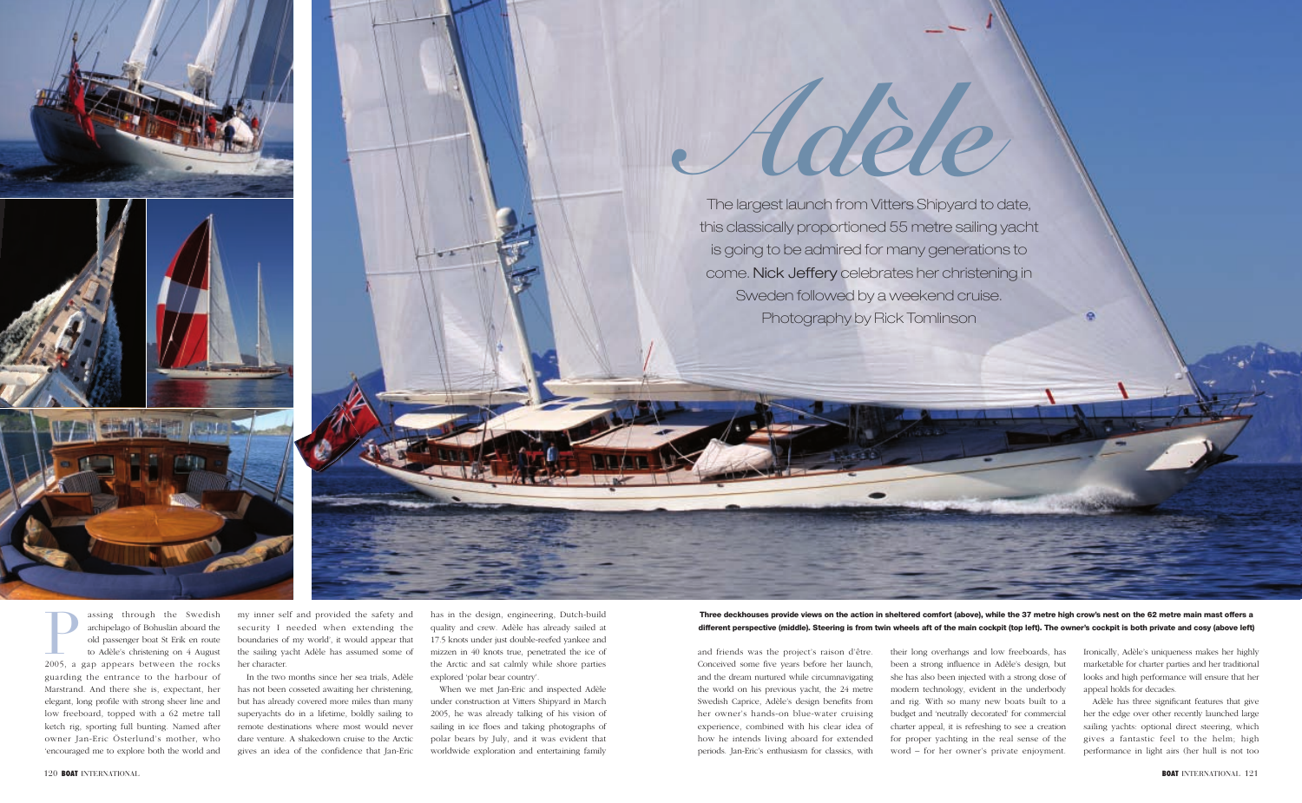

assing through the Swedish archipelago of Bohuslän aboard the old passenger boat St Erik en route to Adèle's christening on 4 August assing through the Swedish<br>archipelago of Bohuslän aboard the<br>old passenger boat St Erik en route<br>to Adèle's christening on 4 August<br>2005, a gap appears between the rocks guarding the entrance to the harbour of Marstrand. And there she is, expectant, her elegant, long profile with strong sheer line and low freeboard, topped with a 62 metre tall ketch rig, sporting full bunting. Named after owner Jan-Eric Österlund's mother, who 'encouraged me to explore both the world and

my inner self and provided the safety and security I needed when extending the boundaries of my world', it would appear that the sailing yacht Adèle has assumed some of her character.

In the two months since her sea trials, Adèle has not been cosseted awaiting her christening, but has already covered more miles than many superyachts do in a lifetime, boldly sailing to remote destinations where most would never dare venture. A shakedown cruise to the Arctic gives an idea of the confidence that Jan-Eric

has in the design, engineering, Dutch-build quality and crew. Adèle has already sailed at 17.5 knots under just double-reefed yankee and mizzen in 40 knots true, penetrated the ice of the Arctic and sat calmly while shore parties explored 'polar bear country'.

When we met Jan-Eric and inspected Adèle under construction at Vitters Shipyard in March 2005, he was already talking of his vision of sailing in ice floes and taking photographs of polar bears by July, and it was evident that worldwide exploration and entertaining family

and friends was the project's raison d'être. Conceived some five years before her launch, and the dream nurtured while circumnavigating the world on his previous yacht, the 24 metre Swedish Caprice, Adèle's design benefits from her owner's hands-on blue-water cruising experience, combined with his clear idea of how he intends living aboard for extended periods. Jan-Eric's enthusiasm for classics, with

their long overhangs and low freeboards, has been a strong influence in Adèle's design, but she has also been injected with a strong dose of modern technology, evident in the underbody and rig. With so many new boats built to a budget and 'neutrally decorated' for commercial charter appeal, it is refreshing to see a creation for proper yachting in the real sense of the word – for her owner's private enjoyment.

Ironically, Adèle's uniqueness makes her highly marketable for charter parties and her traditional looks and high performance will ensure that her appeal holds for decades.

Adèle has three significant features that give her the edge over other recently launched large sailing yachts: optional direct steering, which gives a fantastic feel to the helm; high performance in light airs (her hull is not too

The largest launch from Vitters Shipyard to date, this classically proportioned 55 metre sailing yacht is going to be admired for many generations to come. Nick Jeffery celebrates her christening in Sweden followed by a weekend cruise. Photography by Rick Tomlinson



**Three deckhouses provide views on the action in sheltered comfort (above), while the 37 metre high crow's nest on the 62 metre main mast offers a different perspective (middle). Steering is from twin wheels aft of the main cockpit (top left). The owner's cockpit is both private and cosy (above left)**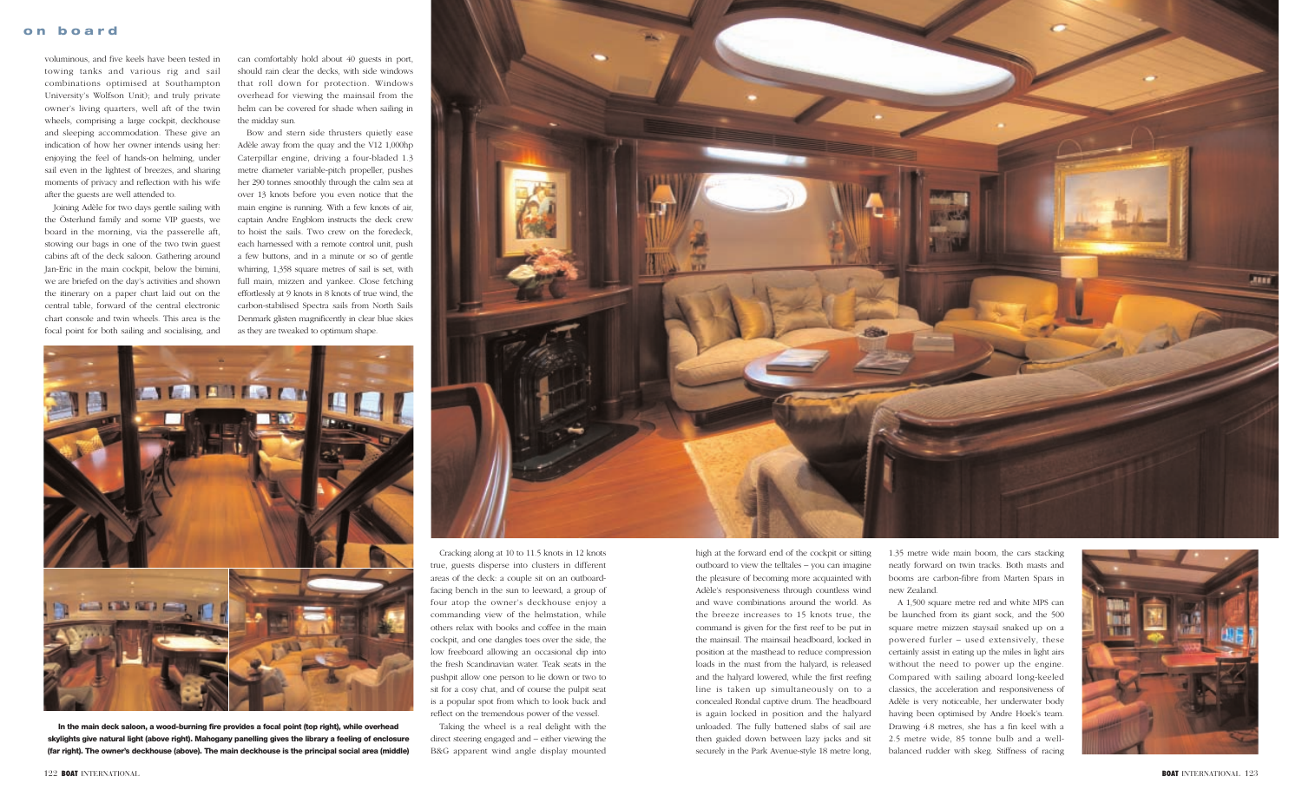voluminous, and five keels have been tested in towing tanks and various rig and sail combinations optimised at Southampton University's Wolfson Unit); and truly private owner's living quarters, well aft of the twin wheels, comprising a large cockpit, deckhouse and sleeping accommodation. These give an indication of how her owner intends using her: enjoying the feel of hands-on helming, under sail even in the lightest of breezes, and sharing moments of privacy and reflection with his wife after the guests are well attended to.

Joining Adèle for two days gentle sailing with the Österlund family and some VIP guests, we board in the morning, via the passerelle aft, stowing our bags in one of the two twin guest cabins aft of the deck saloon. Gathering around Jan-Eric in the main cockpit, below the bimini, we are briefed on the day's activities and shown the itinerary on a paper chart laid out on the central table, forward of the central electronic chart console and twin wheels. This area is the focal point for both sailing and socialising, and

can comfortably hold about 40 guests in port, should rain clear the decks, with side windows that roll down for protection. Windows overhead for viewing the mainsail from the helm can be covered for shade when sailing in the midday sun.

Bow and stern side thrusters quietly ease Adèle away from the quay and the V12 1,000hp Caterpillar engine, driving a four-bladed 1.3 metre diameter variable-pitch propeller, pushes her 290 tonnes smoothly through the calm sea at over 13 knots before you even notice that the main engine is running. With a few knots of air, captain Andre Engblom instructs the deck crew to hoist the sails. Two crew on the foredeck, each harnessed with a remote control unit, push a few buttons, and in a minute or so of gentle whirring, 1,358 square metres of sail is set, with full main, mizzen and yankee. Close fetching effortlessly at 9 knots in 8 knots of true wind, the carbon-stabilised Spectra sails from North Sails Denmark glisten magnificently in clear blue skies as they are tweaked to optimum shape.



Cracking along at 10 to 11.5 knots in 12 knots true, guests disperse into clusters in different areas of the deck: a couple sit on an outboardfacing bench in the sun to leeward, a group of four atop the owner's deckhouse enjoy a commanding view of the helmstation, while others relax with books and coffee in the main cockpit, and one dangles toes over the side, the low freeboard allowing an occasional dip into the fresh Scandinavian water. Teak seats in the pushpit allow one person to lie down or two to sit for a cosy chat, and of course the pulpit seat is a popular spot from which to look back and reflect on the tremendous power of the vessel.

Taking the wheel is a real delight with the direct steering engaged and – either viewing the B&G apparent wind angle display mounted high at the forward end of the cockpit or sitting outboard to view the telltales – you can imagine the pleasure of becoming more acquainted with Adèle's responsiveness through countless wind and wave combinations around the world. As the breeze increases to 15 knots true, the command is given for the first reef to be put in the mainsail. The mainsail headboard, locked in position at the masthead to reduce compression loads in the mast from the halyard, is released and the halyard lowered, while the first reefing line is taken up simultaneously on to a concealed Rondal captive drum. The headboard is again locked in position and the halyard unloaded. The fully battened slabs of sail are then guided down between lazy jacks and sit securely in the Park Avenue-style 18 metre long,

1.35 metre wide main boom, the cars stacking neatly forward on twin tracks. Both masts and booms are carbon-fibre from Marten Spars in new Zealand.

A 1,500 square metre red and white MPS can be launched from its giant sock, and the 500 square metre mizzen staysail snaked up on a powered furler – used extensively, these certainly assist in eating up the miles in light airs without the need to power up the engine. Compared with sailing aboard long-keeled classics, the acceleration and responsiveness of Adèle is very noticeable, her underwater body having been optimised by Andre Hoek's team. Drawing 4.8 metres, she has a fin keel with a 2.5 metre wide, 85 tonne bulb and a wellbalanced rudder with skeg. Stiffness of racing



**In the main deck saloon, a wood-burning fire provides a focal point (top right), while overhead skylights give natural light (above right). Mahogany panelling gives the library a feeling of enclosure (far right). The owner's deckhouse (above). The main deckhouse is the principal social area (middle)**

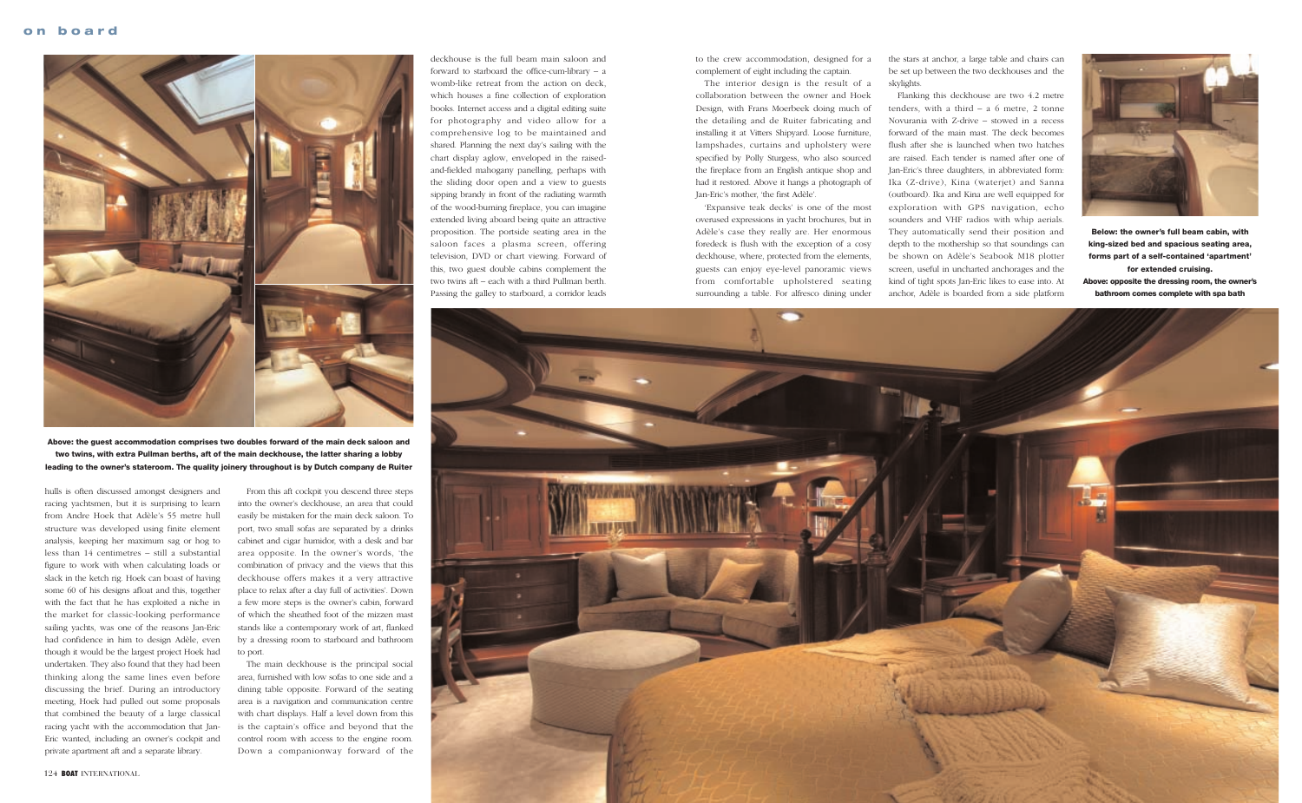

hulls is often discussed amongst designers and racing yachtsmen, but it is surprising to learn from Andre Hoek that Adèle's 55 metre hull structure was developed using finite element analysis, keeping her maximum sag or hog to less than 14 centimetres – still a substantial figure to work with when calculating loads or slack in the ketch rig. Hoek can boast of having some 60 of his designs afloat and this, together with the fact that he has exploited a niche in the market for classic-looking performance sailing yachts, was one of the reasons Jan-Eric had confidence in him to design Adèle, even though it would be the largest project Hoek had undertaken. They also found that they had been thinking along the same lines even before discussing the brief. During an introductory meeting, Hoek had pulled out some proposals that combined the beauty of a large classical racing yacht with the accommodation that Jan-Eric wanted, including an owner's cockpit and private apartment aft and a separate library.

From this aft cockpit you descend three steps into the owner's deckhouse, an area that could easily be mistaken for the main deck saloon. To port, two small sofas are separated by a drinks cabinet and cigar humidor, with a desk and bar area opposite. In the owner's words, 'the combination of privacy and the views that this deckhouse offers makes it a very attractive place to relax after a day full of activities'. Down a few more steps is the owner's cabin, forward of which the sheathed foot of the mizzen mast stands like a contemporary work of art, flanked by a dressing room to starboard and bathroom to port.

The main deckhouse is the principal social area, furnished with low sofas to one side and a dining table opposite. Forward of the seating area is a navigation and communication centre with chart displays. Half a level down from this is the captain's office and beyond that the control room with access to the engine room. Down a companionway forward of the

deckhouse is the full beam main saloon and forward to starboard the office-cum-library – a womb-like retreat from the action on deck, which houses a fine collection of exploration books. Internet access and a digital editing suite for photography and video allow for a comprehensive log to be maintained and shared. Planning the next day's sailing with the chart display aglow, enveloped in the raisedand-fielded mahogany panelling, perhaps with the sliding door open and a view to guests sipping brandy in front of the radiating warmth of the wood-burning fireplace, you can imagine extended living aboard being quite an attractive proposition. The portside seating area in the saloon faces a plasma screen, offering television, DVD or chart viewing. Forward of this, two guest double cabins complement the two twins aft – each with a third Pullman berth. Passing the galley to starboard, a corridor leads

to the crew accommodation, designed for a complement of eight including the captain.

The interior design is the result of a collaboration between the owner and Hoek Design, with Frans Moerbeek doing much of the detailing and de Ruiter fabricating and installing it at Vitters Shipyard. Loose furniture, lampshades, curtains and upholstery were specified by Polly Sturgess, who also sourced the fireplace from an English antique shop and had it restored. Above it hangs a photograph of Jan-Eric's mother, 'the first Adèle'.

'Expansive teak decks' is one of the most overused expressions in yacht brochures, but in Adèle's case they really are. Her enormous foredeck is flush with the exception of a cosy deckhouse, where, protected from the elements, guests can enjoy eye-level panoramic views from comfortable upholstered seating surrounding a table. For alfresco dining under the stars at anchor, a large table and chairs can be set up between the two deckhouses and the





Flanking this deckhouse are two 4.2 metre tenders, with a third  $- a 6$  metre, 2 tonne Novurania with Z-drive – stowed in a recess forward of the main mast. The deck becomes flush after she is launched when two hatches are raised. Each tender is named after one of Jan-Eric's three daughters, in abbreviated form: Ika (Z-drive), Kina (waterjet) and Sanna (outboard). Ika and Kina are well equipped for exploration with GPS navigation, echo sounders and VHF radios with whip aerials. They automatically send their position and depth to the mothership so that soundings can be shown on Adèle's Seabook M18 plotter screen, useful in uncharted anchorages and the kind of tight spots Jan-Eric likes to ease into. At anchor, Adèle is boarded from a side platform



**Above: the guest accommodation comprises two doubles forward of the main deck saloon and two twins, with extra Pullman berths, aft of the main deckhouse, the latter sharing a lobby leading to the owner's stateroom. The quality joinery throughout is by Dutch company de Ruiter**

**Below: the owner's full beam cabin, with king-sized bed and spacious seating area, forms part of a self-contained 'apartment' for extended cruising. Above: opposite the dressing room, the owner's bathroom comes complete with spa bath**